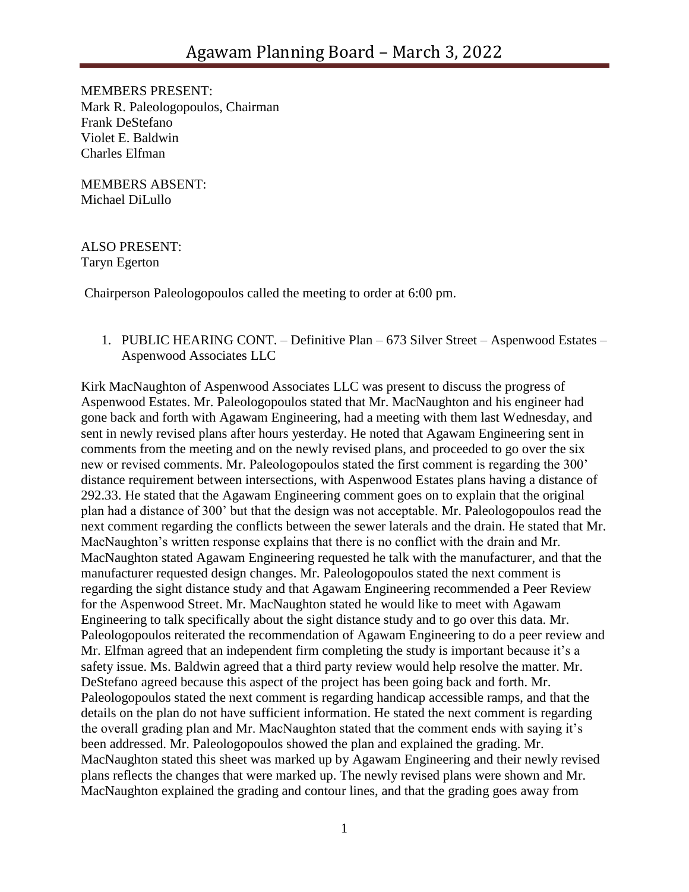MEMBERS PRESENT: Mark R. Paleologopoulos, Chairman Frank DeStefano Violet E. Baldwin Charles Elfman

MEMBERS ABSENT: Michael DiLullo

ALSO PRESENT: Taryn Egerton

Chairperson Paleologopoulos called the meeting to order at 6:00 pm.

### 1. PUBLIC HEARING CONT. – Definitive Plan – 673 Silver Street – Aspenwood Estates – Aspenwood Associates LLC

Kirk MacNaughton of Aspenwood Associates LLC was present to discuss the progress of Aspenwood Estates. Mr. Paleologopoulos stated that Mr. MacNaughton and his engineer had gone back and forth with Agawam Engineering, had a meeting with them last Wednesday, and sent in newly revised plans after hours yesterday. He noted that Agawam Engineering sent in comments from the meeting and on the newly revised plans, and proceeded to go over the six new or revised comments. Mr. Paleologopoulos stated the first comment is regarding the 300' distance requirement between intersections, with Aspenwood Estates plans having a distance of 292.33. He stated that the Agawam Engineering comment goes on to explain that the original plan had a distance of 300' but that the design was not acceptable. Mr. Paleologopoulos read the next comment regarding the conflicts between the sewer laterals and the drain. He stated that Mr. MacNaughton's written response explains that there is no conflict with the drain and Mr. MacNaughton stated Agawam Engineering requested he talk with the manufacturer, and that the manufacturer requested design changes. Mr. Paleologopoulos stated the next comment is regarding the sight distance study and that Agawam Engineering recommended a Peer Review for the Aspenwood Street. Mr. MacNaughton stated he would like to meet with Agawam Engineering to talk specifically about the sight distance study and to go over this data. Mr. Paleologopoulos reiterated the recommendation of Agawam Engineering to do a peer review and Mr. Elfman agreed that an independent firm completing the study is important because it's a safety issue. Ms. Baldwin agreed that a third party review would help resolve the matter. Mr. DeStefano agreed because this aspect of the project has been going back and forth. Mr. Paleologopoulos stated the next comment is regarding handicap accessible ramps, and that the details on the plan do not have sufficient information. He stated the next comment is regarding the overall grading plan and Mr. MacNaughton stated that the comment ends with saying it's been addressed. Mr. Paleologopoulos showed the plan and explained the grading. Mr. MacNaughton stated this sheet was marked up by Agawam Engineering and their newly revised plans reflects the changes that were marked up. The newly revised plans were shown and Mr. MacNaughton explained the grading and contour lines, and that the grading goes away from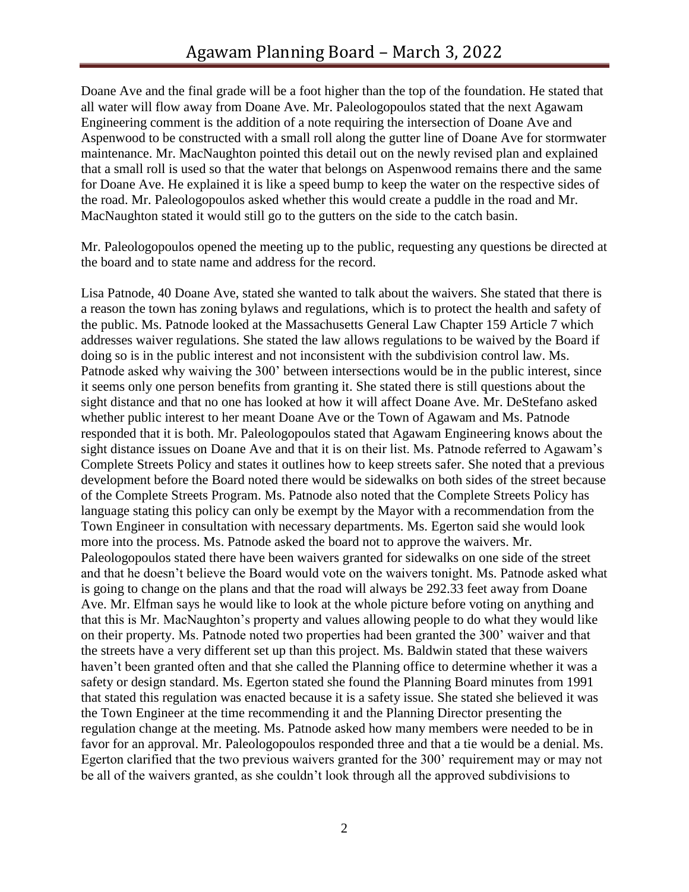Doane Ave and the final grade will be a foot higher than the top of the foundation. He stated that all water will flow away from Doane Ave. Mr. Paleologopoulos stated that the next Agawam Engineering comment is the addition of a note requiring the intersection of Doane Ave and Aspenwood to be constructed with a small roll along the gutter line of Doane Ave for stormwater maintenance. Mr. MacNaughton pointed this detail out on the newly revised plan and explained that a small roll is used so that the water that belongs on Aspenwood remains there and the same for Doane Ave. He explained it is like a speed bump to keep the water on the respective sides of the road. Mr. Paleologopoulos asked whether this would create a puddle in the road and Mr. MacNaughton stated it would still go to the gutters on the side to the catch basin.

Mr. Paleologopoulos opened the meeting up to the public, requesting any questions be directed at the board and to state name and address for the record.

Lisa Patnode, 40 Doane Ave, stated she wanted to talk about the waivers. She stated that there is a reason the town has zoning bylaws and regulations, which is to protect the health and safety of the public. Ms. Patnode looked at the Massachusetts General Law Chapter 159 Article 7 which addresses waiver regulations. She stated the law allows regulations to be waived by the Board if doing so is in the public interest and not inconsistent with the subdivision control law. Ms. Patnode asked why waiving the 300' between intersections would be in the public interest, since it seems only one person benefits from granting it. She stated there is still questions about the sight distance and that no one has looked at how it will affect Doane Ave. Mr. DeStefano asked whether public interest to her meant Doane Ave or the Town of Agawam and Ms. Patnode responded that it is both. Mr. Paleologopoulos stated that Agawam Engineering knows about the sight distance issues on Doane Ave and that it is on their list. Ms. Patnode referred to Agawam's Complete Streets Policy and states it outlines how to keep streets safer. She noted that a previous development before the Board noted there would be sidewalks on both sides of the street because of the Complete Streets Program. Ms. Patnode also noted that the Complete Streets Policy has language stating this policy can only be exempt by the Mayor with a recommendation from the Town Engineer in consultation with necessary departments. Ms. Egerton said she would look more into the process. Ms. Patnode asked the board not to approve the waivers. Mr. Paleologopoulos stated there have been waivers granted for sidewalks on one side of the street and that he doesn't believe the Board would vote on the waivers tonight. Ms. Patnode asked what is going to change on the plans and that the road will always be 292.33 feet away from Doane Ave. Mr. Elfman says he would like to look at the whole picture before voting on anything and that this is Mr. MacNaughton's property and values allowing people to do what they would like on their property. Ms. Patnode noted two properties had been granted the 300' waiver and that the streets have a very different set up than this project. Ms. Baldwin stated that these waivers haven't been granted often and that she called the Planning office to determine whether it was a safety or design standard. Ms. Egerton stated she found the Planning Board minutes from 1991 that stated this regulation was enacted because it is a safety issue. She stated she believed it was the Town Engineer at the time recommending it and the Planning Director presenting the regulation change at the meeting. Ms. Patnode asked how many members were needed to be in favor for an approval. Mr. Paleologopoulos responded three and that a tie would be a denial. Ms. Egerton clarified that the two previous waivers granted for the 300' requirement may or may not be all of the waivers granted, as she couldn't look through all the approved subdivisions to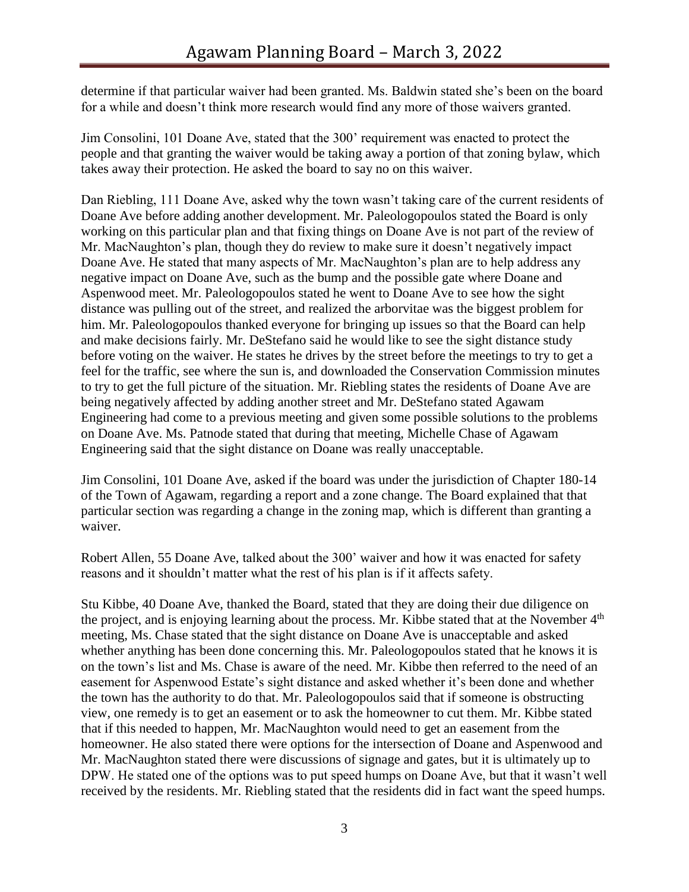determine if that particular waiver had been granted. Ms. Baldwin stated she's been on the board for a while and doesn't think more research would find any more of those waivers granted.

Jim Consolini, 101 Doane Ave, stated that the 300' requirement was enacted to protect the people and that granting the waiver would be taking away a portion of that zoning bylaw, which takes away their protection. He asked the board to say no on this waiver.

Dan Riebling, 111 Doane Ave, asked why the town wasn't taking care of the current residents of Doane Ave before adding another development. Mr. Paleologopoulos stated the Board is only working on this particular plan and that fixing things on Doane Ave is not part of the review of Mr. MacNaughton's plan, though they do review to make sure it doesn't negatively impact Doane Ave. He stated that many aspects of Mr. MacNaughton's plan are to help address any negative impact on Doane Ave, such as the bump and the possible gate where Doane and Aspenwood meet. Mr. Paleologopoulos stated he went to Doane Ave to see how the sight distance was pulling out of the street, and realized the arborvitae was the biggest problem for him. Mr. Paleologopoulos thanked everyone for bringing up issues so that the Board can help and make decisions fairly. Mr. DeStefano said he would like to see the sight distance study before voting on the waiver. He states he drives by the street before the meetings to try to get a feel for the traffic, see where the sun is, and downloaded the Conservation Commission minutes to try to get the full picture of the situation. Mr. Riebling states the residents of Doane Ave are being negatively affected by adding another street and Mr. DeStefano stated Agawam Engineering had come to a previous meeting and given some possible solutions to the problems on Doane Ave. Ms. Patnode stated that during that meeting, Michelle Chase of Agawam Engineering said that the sight distance on Doane was really unacceptable.

Jim Consolini, 101 Doane Ave, asked if the board was under the jurisdiction of Chapter 180-14 of the Town of Agawam, regarding a report and a zone change. The Board explained that that particular section was regarding a change in the zoning map, which is different than granting a waiver.

Robert Allen, 55 Doane Ave, talked about the 300' waiver and how it was enacted for safety reasons and it shouldn't matter what the rest of his plan is if it affects safety.

Stu Kibbe, 40 Doane Ave, thanked the Board, stated that they are doing their due diligence on the project, and is enjoying learning about the process. Mr. Kibbe stated that at the November  $4<sup>th</sup>$ meeting, Ms. Chase stated that the sight distance on Doane Ave is unacceptable and asked whether anything has been done concerning this. Mr. Paleologopoulos stated that he knows it is on the town's list and Ms. Chase is aware of the need. Mr. Kibbe then referred to the need of an easement for Aspenwood Estate's sight distance and asked whether it's been done and whether the town has the authority to do that. Mr. Paleologopoulos said that if someone is obstructing view, one remedy is to get an easement or to ask the homeowner to cut them. Mr. Kibbe stated that if this needed to happen, Mr. MacNaughton would need to get an easement from the homeowner. He also stated there were options for the intersection of Doane and Aspenwood and Mr. MacNaughton stated there were discussions of signage and gates, but it is ultimately up to DPW. He stated one of the options was to put speed humps on Doane Ave, but that it wasn't well received by the residents. Mr. Riebling stated that the residents did in fact want the speed humps.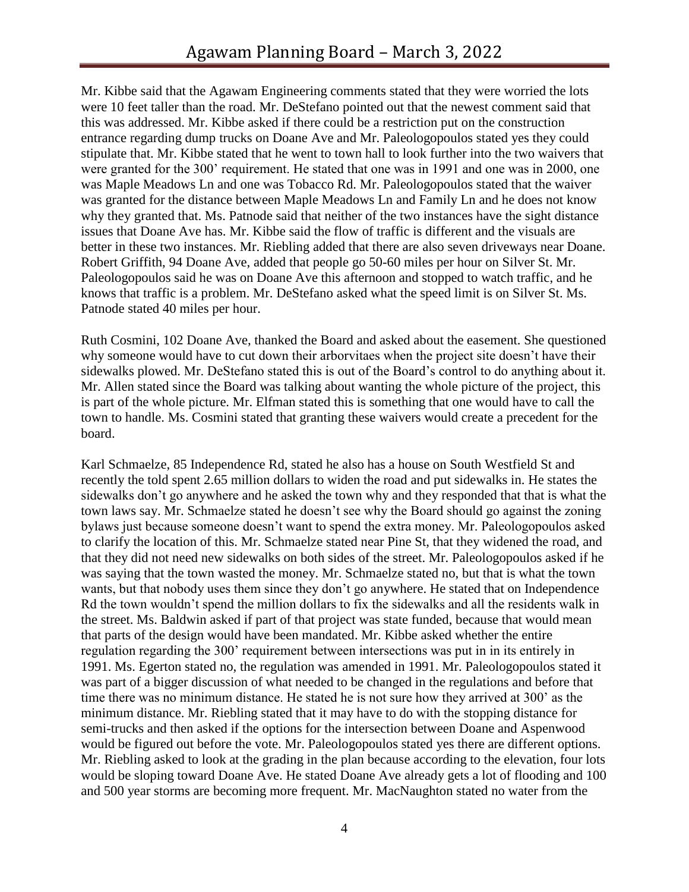Mr. Kibbe said that the Agawam Engineering comments stated that they were worried the lots were 10 feet taller than the road. Mr. DeStefano pointed out that the newest comment said that this was addressed. Mr. Kibbe asked if there could be a restriction put on the construction entrance regarding dump trucks on Doane Ave and Mr. Paleologopoulos stated yes they could stipulate that. Mr. Kibbe stated that he went to town hall to look further into the two waivers that were granted for the 300' requirement. He stated that one was in 1991 and one was in 2000, one was Maple Meadows Ln and one was Tobacco Rd. Mr. Paleologopoulos stated that the waiver was granted for the distance between Maple Meadows Ln and Family Ln and he does not know why they granted that. Ms. Patnode said that neither of the two instances have the sight distance issues that Doane Ave has. Mr. Kibbe said the flow of traffic is different and the visuals are better in these two instances. Mr. Riebling added that there are also seven driveways near Doane. Robert Griffith, 94 Doane Ave, added that people go 50-60 miles per hour on Silver St. Mr. Paleologopoulos said he was on Doane Ave this afternoon and stopped to watch traffic, and he knows that traffic is a problem. Mr. DeStefano asked what the speed limit is on Silver St. Ms. Patnode stated 40 miles per hour.

Ruth Cosmini, 102 Doane Ave, thanked the Board and asked about the easement. She questioned why someone would have to cut down their arborvitaes when the project site doesn't have their sidewalks plowed. Mr. DeStefano stated this is out of the Board's control to do anything about it. Mr. Allen stated since the Board was talking about wanting the whole picture of the project, this is part of the whole picture. Mr. Elfman stated this is something that one would have to call the town to handle. Ms. Cosmini stated that granting these waivers would create a precedent for the board.

Karl Schmaelze, 85 Independence Rd, stated he also has a house on South Westfield St and recently the told spent 2.65 million dollars to widen the road and put sidewalks in. He states the sidewalks don't go anywhere and he asked the town why and they responded that that is what the town laws say. Mr. Schmaelze stated he doesn't see why the Board should go against the zoning bylaws just because someone doesn't want to spend the extra money. Mr. Paleologopoulos asked to clarify the location of this. Mr. Schmaelze stated near Pine St, that they widened the road, and that they did not need new sidewalks on both sides of the street. Mr. Paleologopoulos asked if he was saying that the town wasted the money. Mr. Schmaelze stated no, but that is what the town wants, but that nobody uses them since they don't go anywhere. He stated that on Independence Rd the town wouldn't spend the million dollars to fix the sidewalks and all the residents walk in the street. Ms. Baldwin asked if part of that project was state funded, because that would mean that parts of the design would have been mandated. Mr. Kibbe asked whether the entire regulation regarding the 300' requirement between intersections was put in in its entirely in 1991. Ms. Egerton stated no, the regulation was amended in 1991. Mr. Paleologopoulos stated it was part of a bigger discussion of what needed to be changed in the regulations and before that time there was no minimum distance. He stated he is not sure how they arrived at 300' as the minimum distance. Mr. Riebling stated that it may have to do with the stopping distance for semi-trucks and then asked if the options for the intersection between Doane and Aspenwood would be figured out before the vote. Mr. Paleologopoulos stated yes there are different options. Mr. Riebling asked to look at the grading in the plan because according to the elevation, four lots would be sloping toward Doane Ave. He stated Doane Ave already gets a lot of flooding and 100 and 500 year storms are becoming more frequent. Mr. MacNaughton stated no water from the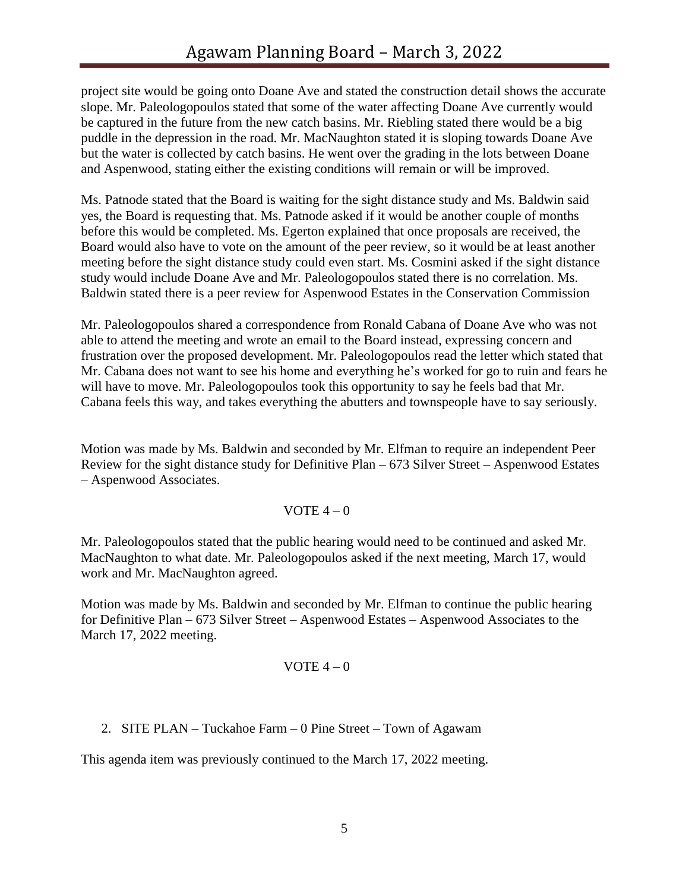project site would be going onto Doane Ave and stated the construction detail shows the accurate slope. Mr. Paleologopoulos stated that some of the water affecting Doane Ave currently would be captured in the future from the new catch basins. Mr. Riebling stated there would be a big puddle in the depression in the road. Mr. MacNaughton stated it is sloping towards Doane Ave but the water is collected by catch basins. He went over the grading in the lots between Doane and Aspenwood, stating either the existing conditions will remain or will be improved.

Ms. Patnode stated that the Board is waiting for the sight distance study and Ms. Baldwin said yes, the Board is requesting that. Ms. Patnode asked if it would be another couple of months before this would be completed. Ms. Egerton explained that once proposals are received, the Board would also have to vote on the amount of the peer review, so it would be at least another meeting before the sight distance study could even start. Ms. Cosmini asked if the sight distance study would include Doane Ave and Mr. Paleologopoulos stated there is no correlation. Ms. Baldwin stated there is a peer review for Aspenwood Estates in the Conservation Commission

Mr. Paleologopoulos shared a correspondence from Ronald Cabana of Doane Ave who was not able to attend the meeting and wrote an email to the Board instead, expressing concern and frustration over the proposed development. Mr. Paleologopoulos read the letter which stated that Mr. Cabana does not want to see his home and everything he's worked for go to ruin and fears he will have to move. Mr. Paleologopoulos took this opportunity to say he feels bad that Mr. Cabana feels this way, and takes everything the abutters and townspeople have to say seriously.

Motion was made by Ms. Baldwin and seconded by Mr. Elfman to require an independent Peer Review for the sight distance study for Definitive Plan – 673 Silver Street – Aspenwood Estates – Aspenwood Associates.

### VOTE  $4-0$

Mr. Paleologopoulos stated that the public hearing would need to be continued and asked Mr. MacNaughton to what date. Mr. Paleologopoulos asked if the next meeting, March 17, would work and Mr. MacNaughton agreed.

Motion was made by Ms. Baldwin and seconded by Mr. Elfman to continue the public hearing for Definitive Plan – 673 Silver Street – Aspenwood Estates – Aspenwood Associates to the March 17, 2022 meeting.

#### VOTE  $4-0$

2. SITE PLAN – Tuckahoe Farm – 0 Pine Street – Town of Agawam

This agenda item was previously continued to the March 17, 2022 meeting.